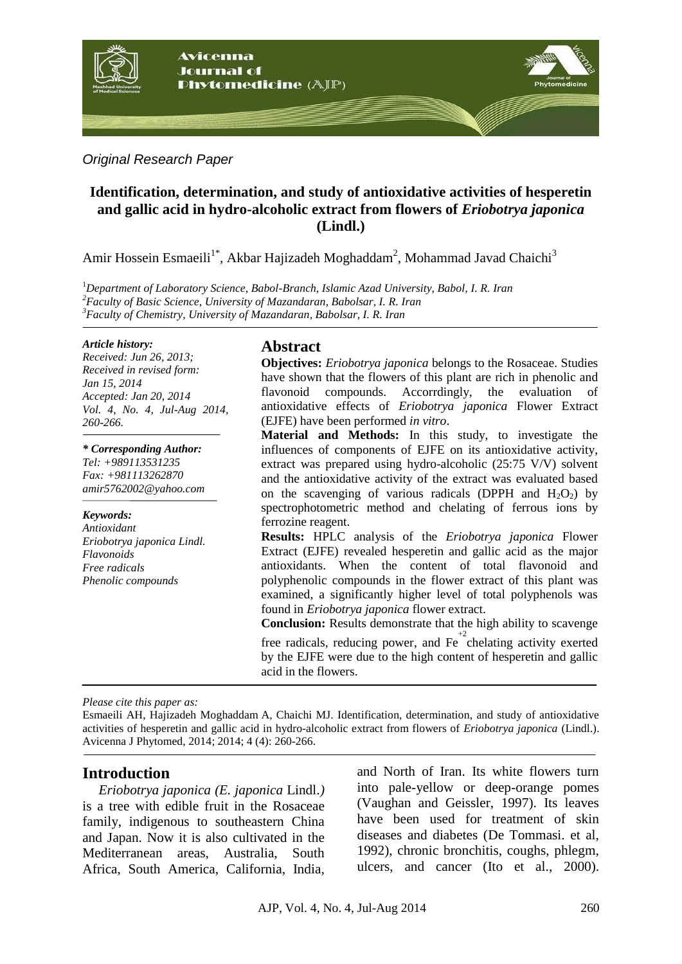

#### *Original Research Paper*

## **Identification, determination, and study of antioxidative activities of hesperetin and gallic acid in hydro-alcoholic extract from flowers of** *Eriobotrya japonica* **(Lindl.)**

Amir Hossein Esmaeili<sup>1\*</sup>, Akbar Hajizadeh Moghaddam<sup>2</sup>, Mohammad Javad Chaichi<sup>3</sup>

<sup>1</sup>*Department of Laboratory Science, Babol-Branch, Islamic Azad University, Babol, I. R. Iran <sup>2</sup>Faculty of Basic Science, University of Mazandaran, Babolsar, I. R. Iran <sup>3</sup>Faculty of Chemistry, University of Mazandaran, Babolsar, I. R. Iran*

#### *Article history:*

*Received: Jun 26, 2013; Received in revised form: Jan 15, 2014 Accepted: Jan 20, 2014 Vol. 4, No. 4, Jul-Aug 2014, 260-266.*

*\* Corresponding Author:*

*Tel: +989113531235 Fax: +981113262870 [amir5762002@yahoo.com](mailto:amir5762002@yahoo.com)*

#### *Keywords:*

*Antioxidant Eriobotrya japonica Lindl. Flavonoids Free radicals Phenolic compounds*

## **Abstract**

**Objectives:** *Eriobotrya japonica* belongs to the Rosaceae. Studies have shown that the flowers of this plant are rich in phenolic and flavonoid compounds. Accorrdingly, the evaluation of antioxidative effects of *Eriobotrya japonica* Flower Extract (EJFE) have been performed *in vitro*.

**Material and Methods:** In this study, to investigate the influences of components of EJFE on its antioxidative activity, extract was prepared using hydro-alcoholic (25:75 V/V) solvent and the antioxidative activity of the extract was evaluated based on the scavenging of various radicals (DPPH and  $H_2O_2$ ) by spectrophotometric method and chelating of ferrous ions by ferrozine reagent.

**Results:** HPLC analysis of the *Eriobotrya japonica* Flower Extract (EJFE) revealed hesperetin and gallic acid as the major antioxidants. When the content of total flavonoid and polyphenolic compounds in the flower extract of this plant was examined, a significantly higher level of total polyphenols was found in *Eriobotrya japonica* flower extract.

**Conclusion:** Results demonstrate that the high ability to scavenge

free radicals, reducing power, and  $Fe<sup>+2</sup>$ chelating activity exerted by the EJFE were due to the high content of hesperetin and gallic acid in the flowers.

*Please cite this paper as:* 

Esmaeili AH, Hajizadeh Moghaddam A, Chaichi MJ. Identification, determination, and study of antioxidative activities of hesperetin and gallic acid in hydro-alcoholic extract from flowers of *Eriobotrya japonica* (Lindl.). Avicenna J Phytomed, 2014; 2014; 4 (4): 260-266.

# **Introduction**

*Eriobotrya japonica (E. japonica* Lindl.*)* is a tree with edible fruit in the [Rosaceae](http://en.wikipedia.org/wiki/Rosaceae) family, indigenous to southeastern [China](http://en.wikipedia.org/wiki/China) and Japan. Now it is also cultivated in the Mediterranean areas, Australia, South Africa, South America, California, India, and North of Iran. Its white flowers turn into pale-yellow or deep-orange pomes (Vaughan and Geissler, 1997). Its leaves have been used for treatment of skin diseases and diabetes (De Tommasi. et al, 1992), chronic bronchitis, coughs, phlegm, ulcers, and cancer (Ito et al., 2000).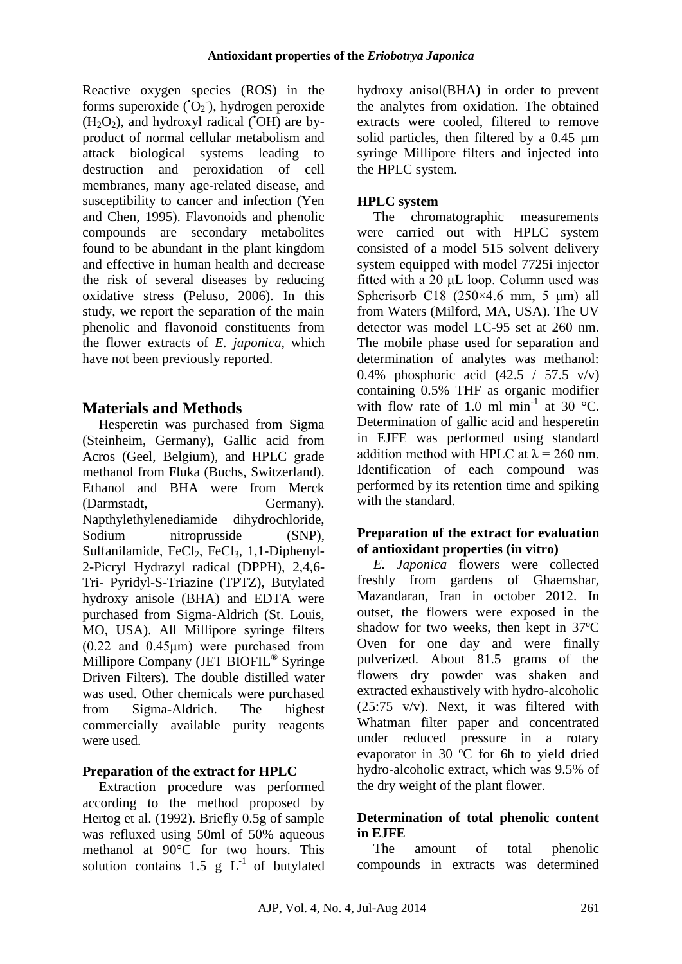Reactive oxygen species (ROS) in the forms superoxide  $(O_2)$ , hydrogen peroxide  $(H<sub>2</sub>O<sub>2</sub>)$ , and hydroxyl radical ( $(OH)$ ) are byproduct of normal cellular metabolism and attack biological systems leading to destruction and peroxidation of cell membranes, many age-related disease, and susceptibility to cancer and infection (Yen and Chen, 1995). Flavonoids and phenolic compounds are secondary metabolites found to be abundant in the plant kingdom and effective in human health and decrease the risk of several diseases by reducing oxidative stress (Peluso, 2006). In this study, we report the separation of the main phenolic and flavonoid constituents from the flower extracts of *E. japonica*, which have not been previously reported.

# **Materials and Methods**

Hesperetin was purchased from Sigma (Steinheim, Germany), Gallic acid from Acros (Geel, Belgium), and HPLC grade methanol from Fluka (Buchs, Switzerland). Ethanol and BHA were from Merck (Darmstadt, Germany). Napthylethylenediamide dihydrochloride, Sodium nitroprusside (SNP), Sulfanilamide,  $FeCl<sub>2</sub>$ ,  $FeCl<sub>3</sub>$ , 1,1-Diphenyl-2-Picryl Hydrazyl radical (DPPH), 2,4,6- Tri- Pyridyl-S-Triazine (TPTZ), Butylated hydroxy anisole (BHA) and EDTA were purchased from Sigma-Aldrich (St. Louis, MO, USA). All Millipore syringe filters (0.22 and 0.45μm) were purchased from Millipore Company (JET BIOFIL® Syringe Driven Filters). The double distilled water was used. Other chemicals were purchased from Sigma-Aldrich. The highest commercially available purity reagents were used.

### **Preparation of the extract for HPLC**

Extraction procedure was performed according to the method proposed by Hertog et al. (1992). Briefly 0.5g of sample was refluxed using 50ml of 50% aqueous methanol at 90°C for two hours. This solution contains 1.5  $g L^{-1}$  of butylated hydroxy anisol(BHA**)** in order to prevent the analytes from oxidation. The obtained extracts were cooled, filtered to remove solid particles, then filtered by a 0.45 um syringe Millipore filters and injected into the HPLC system.

# **HPLC system**

The chromatographic measurements were carried out with HPLC system consisted of a model 515 solvent delivery system equipped with model 7725i injector fitted with a 20 μL loop. Column used was Spherisorb C18  $(250\times4.6$  mm, 5 μm) all from Waters (Milford, MA, USA). The UV detector was model LC-95 set at 260 nm. The mobile phase used for separation and determination of analytes was methanol: 0.4% phosphoric acid (42.5 / 57.5 v/v) containing 0.5% THF as organic modifier with flow rate of 1.0 ml  $min^{-1}$  at 30 °C. Determination of gallic acid and hesperetin in EJFE was performed using standard addition method with HPLC at  $\lambda$  = 260 nm. Identification of each compound was performed by its retention time and spiking with the standard.

### **Preparation of the extract for evaluation of antioxidant properties (in vitro)**

*E. Japonica* flowers were collected freshly from gardens of Ghaemshar, Mazandaran, Iran in october 2012. In outset, the flowers were exposed in the shadow for two weeks, then kept in 37ºC Oven for one day and were finally pulverized. About 81.5 grams of the flowers dry powder was shaken and extracted exhaustively with hydro-alcoholic (25:75 v/v). Next, it was filtered with Whatman filter paper and concentrated under reduced pressure in a rotary evaporator in 30 ºC for 6h to yield dried hydro-alcoholic extract, which was 9.5% of the dry weight of the plant flower.

### **Determination of total phenolic content in EJFE**

The amount of total phenolic compounds in extracts was determined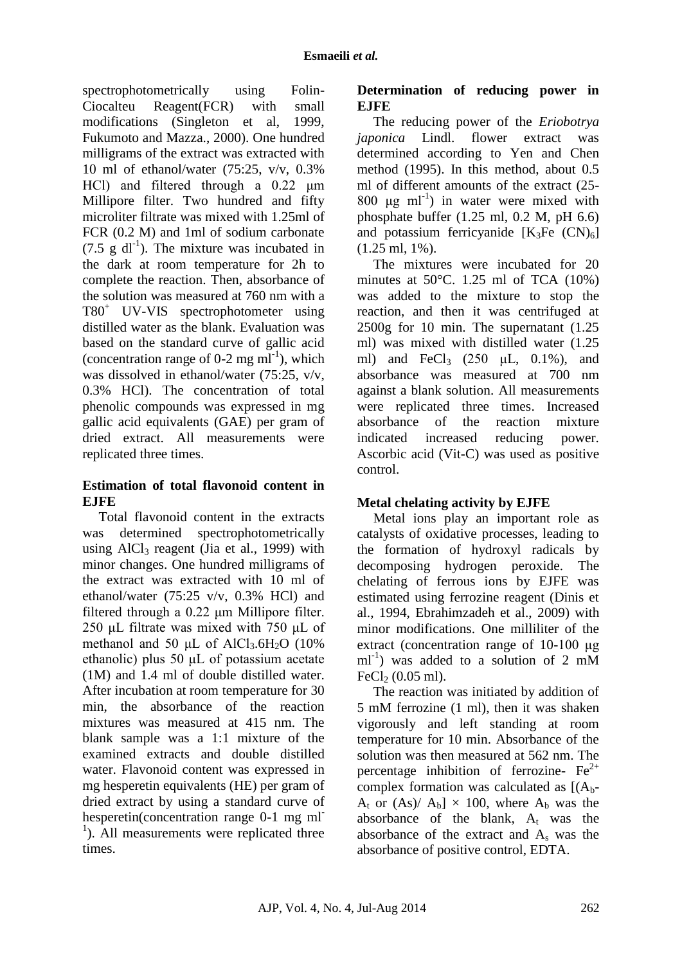spectrophotometrically using Folin-Ciocalteu Reagent(FCR) with small modifications (Singleton et al, 1999, Fukumoto and Mazza., 2000). One hundred milligrams of the extract was extracted with 10 ml of ethanol/water (75:25, v/v, 0.3% HCl) and filtered through a 0.22 μm Millipore filter. Two hundred and fifty microliter filtrate was mixed with 1.25ml of FCR (0.2 M) and 1ml of sodium carbonate  $(7.5 \text{ g } dl^{-1})$ . The mixture was incubated in the dark at room temperature for 2h to complete the reaction. Then, absorbance of the solution was measured at 760 nm with a T80<sup>+</sup> UV-VIS spectrophotometer using distilled water as the blank. Evaluation was based on the standard curve of gallic acid (concentration range of 0-2 mg  $ml^{-1}$ ), which was dissolved in ethanol/water (75:25, v/v, 0.3% HCl). The concentration of total phenolic compounds was expressed in mg gallic acid equivalents (GAE) per gram of dried extract. All measurements were replicated three times.

### **Estimation of total flavonoid content in EJFE**

Total flavonoid content in the extracts was determined spectrophotometrically using  $AICI_3$  reagent (Jia et al., 1999) with minor changes. One hundred milligrams of the extract was extracted with 10 ml of ethanol/water (75:25 v/v, 0.3% HCl) and filtered through a 0.22 μm Millipore filter. 250 μL filtrate was mixed with 750 μL of methanol and 50  $\mu$ L of AlCl<sub>3</sub>.6H<sub>2</sub>O (10%) ethanolic) plus 50 μL of potassium acetate (1M) and 1.4 ml of double distilled water. After incubation at room temperature for 30 min, the absorbance of the reaction mixtures was measured at 415 nm. The blank sample was a 1:1 mixture of the examined extracts and double distilled water. Flavonoid content was expressed in mg hesperetin equivalents (HE) per gram of dried extract by using a standard curve of hesperetin(concentration range 0-1 mg ml-<sup>1</sup>). All measurements were replicated three times.

# **Determination of reducing power in EJFE**

The reducing power of the *Eriobotrya japonica* Lindl. flower extract was determined according to Yen and Chen method (1995). In this method, about 0.5 ml of different amounts of the extract (25-  $800 \text{ µg ml}^{-1}$ ) in water were mixed with phosphate buffer (1.25 ml, 0.2 M, pH 6.6) and potassium ferricyanide  $[K_3Fe (CN)_6]$ (1.25 ml, 1%).

The mixtures were incubated for 20 minutes at  $50^{\circ}$ C. 1.25 ml of TCA  $(10\%)$ was added to the mixture to stop the reaction, and then it was centrifuged at 2500g for 10 min. The supernatant (1.25 ml) was mixed with distilled water (1.25 ml) and FeCl<sub>3</sub> (250  $\mu$ L, 0.1%), and absorbance was measured at 700 nm against a blank solution. All measurements were replicated three times. Increased absorbance of the reaction mixture indicated increased reducing power. Ascorbic acid (Vit-C) was used as positive control.

# **Metal chelating activity by EJFE**

Metal ions play an important role as catalysts of oxidative processes, leading to the formation of hydroxyl radicals by decomposing hydrogen peroxide. The chelating of ferrous ions by EJFE was estimated using ferrozine reagent (Dinis et al., 1994, Ebrahimzadeh et al., 2009) with minor modifications. One milliliter of the extract (concentration range of 10-100 μg ml-1 ) was added to a solution of 2 mM FeCl $2(0.05$  ml).

The reaction was initiated by addition of 5 mM ferrozine (1 ml), then it was shaken vigorously and left standing at room temperature for 10 min. Absorbance of the solution was then measured at 562 nm. The percentage inhibition of ferrozine-  $Fe^{2+}$ complex formation was calculated as  $[(A_{b}$ - $A_t$  or  $(As)/A_b] \times 100$ , where  $A_b$  was the absorbance of the blank,  $A_t$  was the absorbance of the extract and  $A_s$  was the absorbance of positive control, EDTA.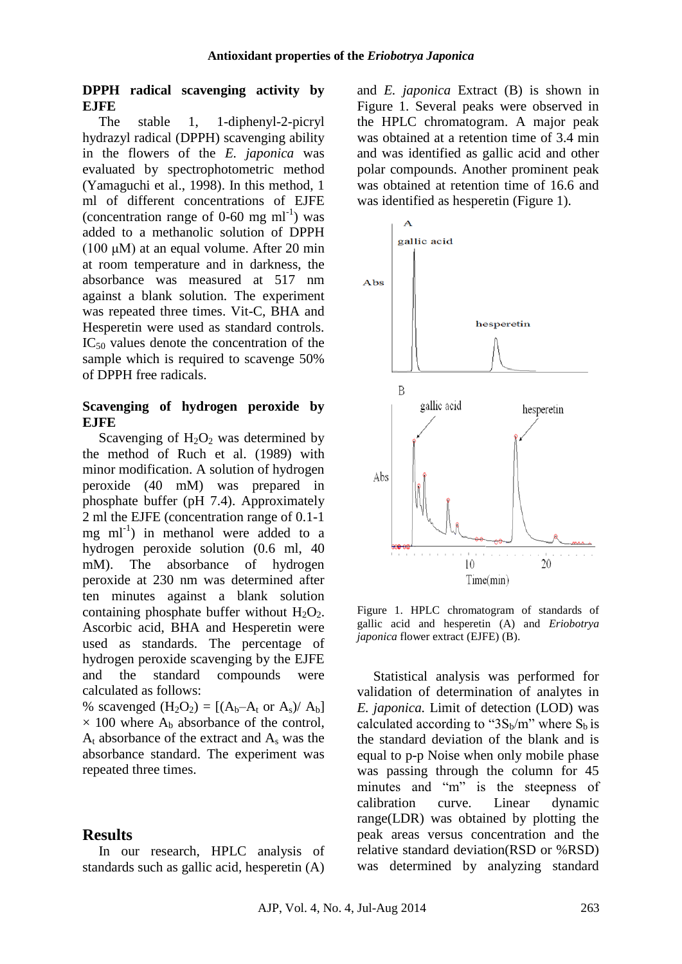#### **DPPH radical scavenging activity by EJFE**

The stable 1, 1-diphenyl-2-picryl hydrazyl radical (DPPH) scavenging ability in the flowers of the *E. japonica* was evaluated by spectrophotometric method (Yamaguchi et al., 1998). In this method, 1 ml of different concentrations of EJFE (concentration range of  $0\n-60$  mg ml<sup>-1</sup>) was added to a methanolic solution of DPPH (100  $\mu$ M) at an equal volume. After 20 min at room temperature and in darkness, the absorbance was measured at 517 nm against a blank solution. The experiment was repeated three times. Vit-C, BHA and Hesperetin were used as standard controls.  $IC_{50}$  values denote the concentration of the sample which is required to scavenge 50% of DPPH free radicals.

#### **Scavenging of hydrogen peroxide by EJFE**

Scavenging of  $H_2O_2$  was determined by the method of Ruch et al. (1989) with minor modification. A solution of hydrogen peroxide (40 mM) was prepared in phosphate buffer (pH 7.4). Approximately 2 ml the EJFE (concentration range of 0.1-1  $mg$  ml<sup>-1</sup>) in methanol were added to a hydrogen peroxide solution (0.6 ml, 40 mM). The absorbance of hydrogen peroxide at 230 nm was determined after ten minutes against a blank solution containing phosphate buffer without  $H_2O_2$ . Ascorbic acid, BHA and Hesperetin were used as standards. The percentage of hydrogen peroxide scavenging by the EJFE and the standard compounds were calculated as follows:

% scavenged  $(H_2O_2) = [(A_b-A_t \text{ or } A_s)/A_b]$  $\times$  100 where A<sub>b</sub> absorbance of the control,  $A_t$  absorbance of the extract and  $A_s$  was the absorbance standard. The experiment was repeated three times.

#### **Results**

In our research, HPLC analysis of standards such as gallic acid, hesperetin (A) and *E. japonica* Extract (B) is shown in Figure 1. Several peaks were observed in the HPLC chromatogram. A major peak was obtained at a retention time of 3.4 min and was identified as gallic acid and other polar compounds. Another prominent peak was obtained at retention time of 16.6 and was identified as hesperetin (Figure 1).



Figure 1. HPLC chromatogram of standards of gallic acid and hesperetin (A) and *Eriobotrya japonica* flower extract (EJFE) (B).

Statistical analysis was performed for validation of determination of analytes in *E. japonica.* Limit of detection (LOD) was calculated according to " $3S_b/m$ " where  $S_b$  is the standard deviation of the blank and is equal to p-p Noise when only mobile phase was passing through the column for 45 minutes and "m" is the steepness of calibration curve. Linear dynamic range(LDR) was obtained by plotting the peak areas versus concentration and the relative standard deviation(RSD or %RSD) was determined by analyzing standard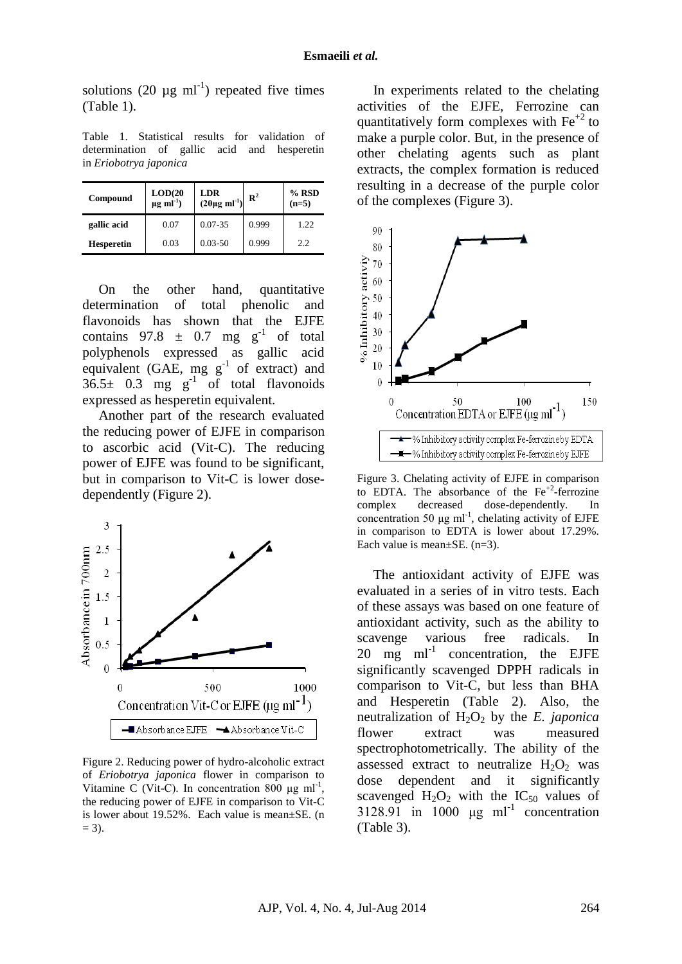solutions (20  $\mu$ g ml<sup>-1</sup>) repeated five times (Table 1).

Table 1. Statistical results for validation of determination of gallic acid and hesperetin in *Eriobotrya japonica*

| Compound          | LOD(20)<br>$\mu$ g ml <sup>-1</sup> ) | LDR<br>$(20\mu g \text{ ml}^{-1})$ | $\mathbb{R}^2$ | $%$ RSD<br>$(n=5)$ |
|-------------------|---------------------------------------|------------------------------------|----------------|--------------------|
| gallic acid       | 0.07                                  | $0.07 - 35$                        | 0.999          | 1.22.              |
| <b>Hesperetin</b> | 0.03                                  | $0.03 - 50$                        | 0.999          | 2.2                |

On the other hand, quantitative determination of total phenolic and flavonoids has shown that the EJFE contains  $97.8 \pm 0.7$  mg g<sup>-1</sup> of total polyphenols expressed as gallic acid equivalent (GAE, mg  $g^{-1}$  of extract) and  $36.5 \pm 0.3$  mg g<sup>-1</sup> of total flavonoids expressed as hesperetin equivalent.

Another part of the research evaluated the reducing power of EJFE in comparison to ascorbic acid (Vit-C). The reducing power of EJFE was found to be significant, but in comparison to Vit-C is lower dosedependently (Figure 2).



Figure 2. Reducing power of hydro-alcoholic extract of *Eriobotrya japonica* flower in comparison to Vitamine C (Vit-C). In concentration  $800 \mu g$  ml<sup>-1</sup>, the reducing power of EJFE in comparison to Vit-C is lower about 19.52%. Each value is mean±SE. (n  $= 3$ ).

In experiments related to the chelating activities of the EJFE, Ferrozine can quantitatively form complexes with  $Fe<sup>+2</sup>$  to make a purple color. But, in the presence of other chelating agents such as plant extracts, the complex formation is reduced resulting in a decrease of the purple color of the complexes (Figure 3).



Figure 3. Chelating activity of EJFE in comparison to EDTA. The absorbance of the  $Fe^{+2}$ -ferrozine complex decreased dose-dependently. In concentration 50 μg ml<sup>-1</sup>, chelating activity of EJFE in comparison to EDTA is lower about 17.29%. Each value is mean±SE. (n=3).

The antioxidant activity of EJFE was evaluated in a series of in vitro tests. Each of these assays was based on one feature of antioxidant activity, such as the ability to scavenge various free radicals. In  $20$  mg ml<sup>-1</sup> concentration, the EJFE significantly scavenged DPPH radicals in comparison to Vit-C, but less than BHA and Hesperetin (Table 2). Also, the neutralization of  $H_2O_2$  by the *E. japonica* flower extract was measured spectrophotometrically. The ability of the assessed extract to neutralize  $H_2O_2$  was dose dependent and it significantly scavenged  $H_2O_2$  with the IC<sub>50</sub> values of 3128.91 in 1000  $\mu$ g ml<sup>-1</sup> concentration (Table 3).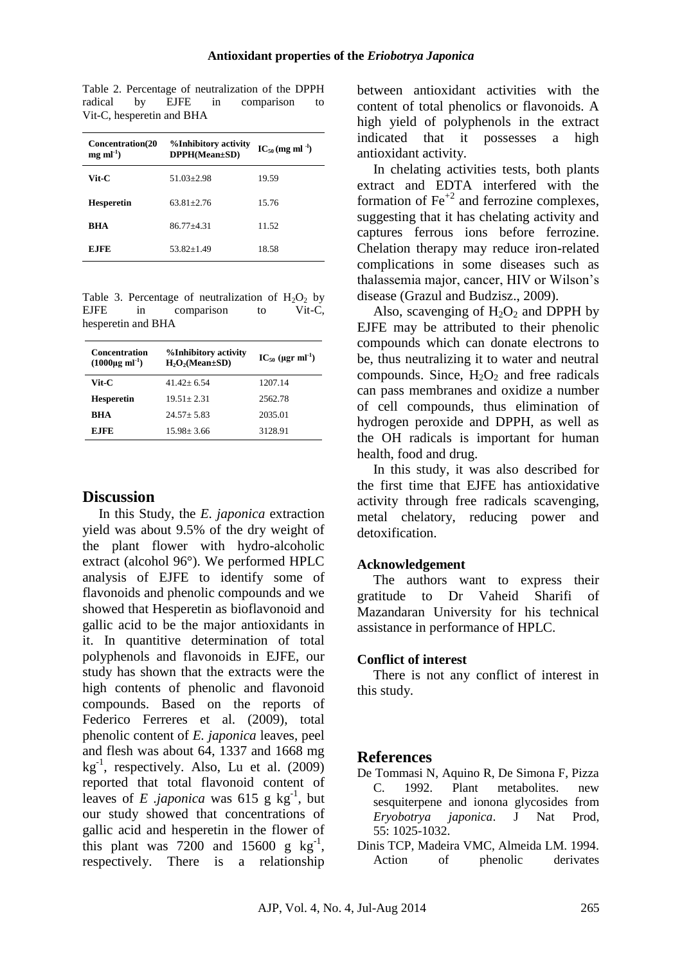Table 2. Percentage of neutralization of the DPPH radical by EJFE in comparison to Vit-C, hesperetin and BHA

| <b>Concentration(20</b><br>$mg$ ml <sup>-1</sup> ) | %Inhibitory activity<br>DPPH(Mean±SD) | $IC_{50}$ (mg ml <sup>-1</sup> ) |
|----------------------------------------------------|---------------------------------------|----------------------------------|
| Vit-C                                              | $51.03 \pm 2.98$                      | 19.59                            |
| <b>Hesperetin</b>                                  | $63.81 + 2.76$                        | 15.76                            |
| RHA                                                | 86.77+4.31                            | 11.52                            |
| E.IFE                                              | 53.82+1.49                            | 18.58                            |

Table 3. Percentage of neutralization of  $H_2O_2$  by<br>EIFE in comparison to Vit-C. in comparison to Vit-C, hesperetin and BHA

| <b>Concentration</b><br>$(1000\mu g \text{ ml}^{-1})$ | %Inhibitory activity<br>$H_2O_2(Mean \pm SD)$ | $IC_{50}$ (µgr ml <sup>-1</sup> ) |
|-------------------------------------------------------|-----------------------------------------------|-----------------------------------|
| Vit-C                                                 | $41.42 + 6.54$                                | 1207.14                           |
| <b>Hesperetin</b>                                     | $19.51 + 2.31$                                | 2562.78                           |
| RHA                                                   | $24.57 + 5.83$                                | 2035.01                           |
| <b>E.IFE</b>                                          | $15.98 + 3.66$                                | 3128.91                           |

#### **Discussion**

In this Study, the *E. japonica* extraction yield was about 9.5% of the dry weight of the plant flower with hydro-alcoholic extract (alcohol 96°). We performed HPLC analysis of EJFE to identify some of flavonoids and phenolic compounds and we showed that Hesperetin as bioflavonoid and gallic acid to be the major antioxidants in it. In quantitive determination of total polyphenols and flavonoids in EJFE, our study has shown that the extracts were the high contents of phenolic and flavonoid compounds. Based on the reports of Federico Ferreres et al. (2009), total phenolic content of *E. japonica* leaves, peel and flesh was about 64, 1337 and 1668 mg  $kg^{-1}$ , respectively. Also, Lu et al. (2009) reported that total flavonoid content of leaves of *E japonica* was 615 g  $kg^{-1}$ , but our study showed that concentrations of gallic acid and hesperetin in the flower of this plant was  $7200$  and  $15600$  g kg<sup>-1</sup>, respectively. There is a relationship

between antioxidant activities with the content of total phenolics or flavonoids. A high yield of polyphenols in the extract indicated that it possesses a high antioxidant activity.

In chelating activities tests, both plants extract and EDTA interfered with the formation of  $\text{Fe}^{+2}$  and ferrozine complexes. suggesting that it has chelating activity and captures ferrous ions before ferrozine. Chelation therapy may reduce iron-related complications in some diseases such as thalassemia major, cancer, HIV or Wilson's disease (Grazul and Budzisz., 2009).

Also, scavenging of  $H_2O_2$  and DPPH by EJFE may be attributed to their phenolic compounds which can donate electrons to be, thus neutralizing it to water and neutral compounds. Since,  $H_2O_2$  and free radicals can pass membranes and oxidize a number of cell compounds, thus elimination of hydrogen peroxide and DPPH, as well as the OH radicals is important for human health, food and drug.

In this study, it was also described for the first time that EJFE has antioxidative activity through free radicals scavenging, metal chelatory, reducing power and detoxification.

### **Acknowledgement**

The authors want to express their gratitude to Dr Vaheid Sharifi of Mazandaran University for his technical assistance in performance of HPLC.

#### **Conflict of interest**

There is not any conflict of interest in this study.

### **References**

- De Tommasi N, Aquino R, De Simona F, Pizza C. 1992. Plant metabolites. new sesquiterpene and ionona glycosides from *Eryobotrya japonica*. J Nat Prod, 55: 1025-1032.
- Dinis TCP, Madeira VMC, Almeida LM. 1994. Action of phenolic derivates